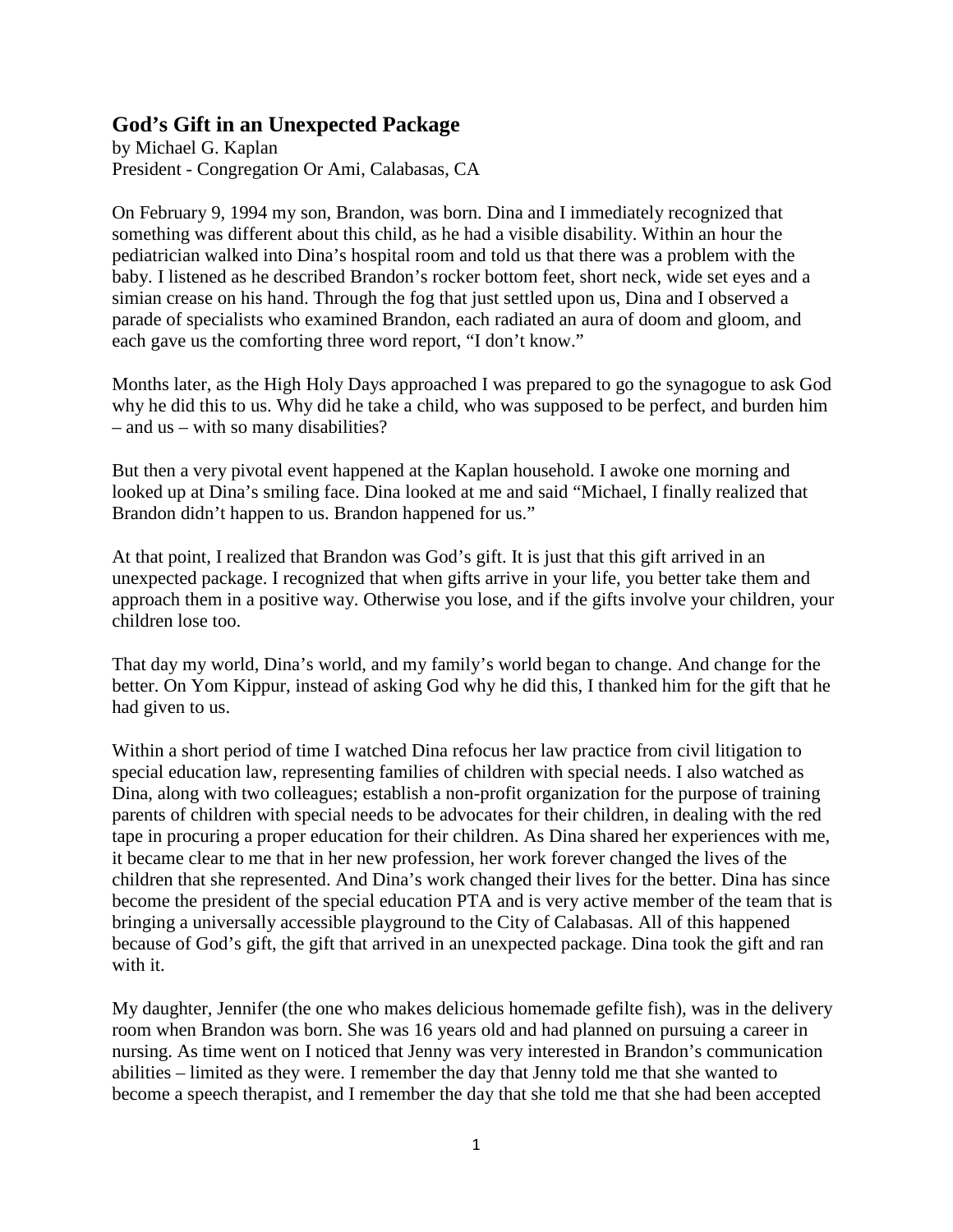## **God's Gift in an Unexpected Package**

by Michael G. Kaplan President - Congregation Or Ami, Calabasas, CA

On February 9, 1994 my son, Brandon, was born. Dina and I immediately recognized that something was different about this child, as he had a visible disability. Within an hour the pediatrician walked into Dina's hospital room and told us that there was a problem with the baby. I listened as he described Brandon's rocker bottom feet, short neck, wide set eyes and a simian crease on his hand. Through the fog that just settled upon us, Dina and I observed a parade of specialists who examined Brandon, each radiated an aura of doom and gloom, and each gave us the comforting three word report, "I don't know."

Months later, as the High Holy Days approached I was prepared to go the synagogue to ask God why he did this to us. Why did he take a child, who was supposed to be perfect, and burden him – and us – with so many disabilities?

But then a very pivotal event happened at the Kaplan household. I awoke one morning and looked up at Dina's smiling face. Dina looked at me and said "Michael, I finally realized that Brandon didn't happen to us. Brandon happened for us."

At that point, I realized that Brandon was God's gift. It is just that this gift arrived in an unexpected package. I recognized that when gifts arrive in your life, you better take them and approach them in a positive way. Otherwise you lose, and if the gifts involve your children, your children lose too.

That day my world, Dina's world, and my family's world began to change. And change for the better. On Yom Kippur, instead of asking God why he did this, I thanked him for the gift that he had given to us.

Within a short period of time I watched Dina refocus her law practice from civil litigation to special education law, representing families of children with special needs. I also watched as Dina, along with two colleagues; establish a non-profit organization for the purpose of training parents of children with special needs to be advocates for their children, in dealing with the red tape in procuring a proper education for their children. As Dina shared her experiences with me, it became clear to me that in her new profession, her work forever changed the lives of the children that she represented. And Dina's work changed their lives for the better. Dina has since become the president of the special education PTA and is very active member of the team that is bringing a universally accessible playground to the City of Calabasas. All of this happened because of God's gift, the gift that arrived in an unexpected package. Dina took the gift and ran with it.

My daughter, Jennifer (the one who makes delicious homemade gefilte fish), was in the delivery room when Brandon was born. She was 16 years old and had planned on pursuing a career in nursing. As time went on I noticed that Jenny was very interested in Brandon's communication abilities – limited as they were. I remember the day that Jenny told me that she wanted to become a speech therapist, and I remember the day that she told me that she had been accepted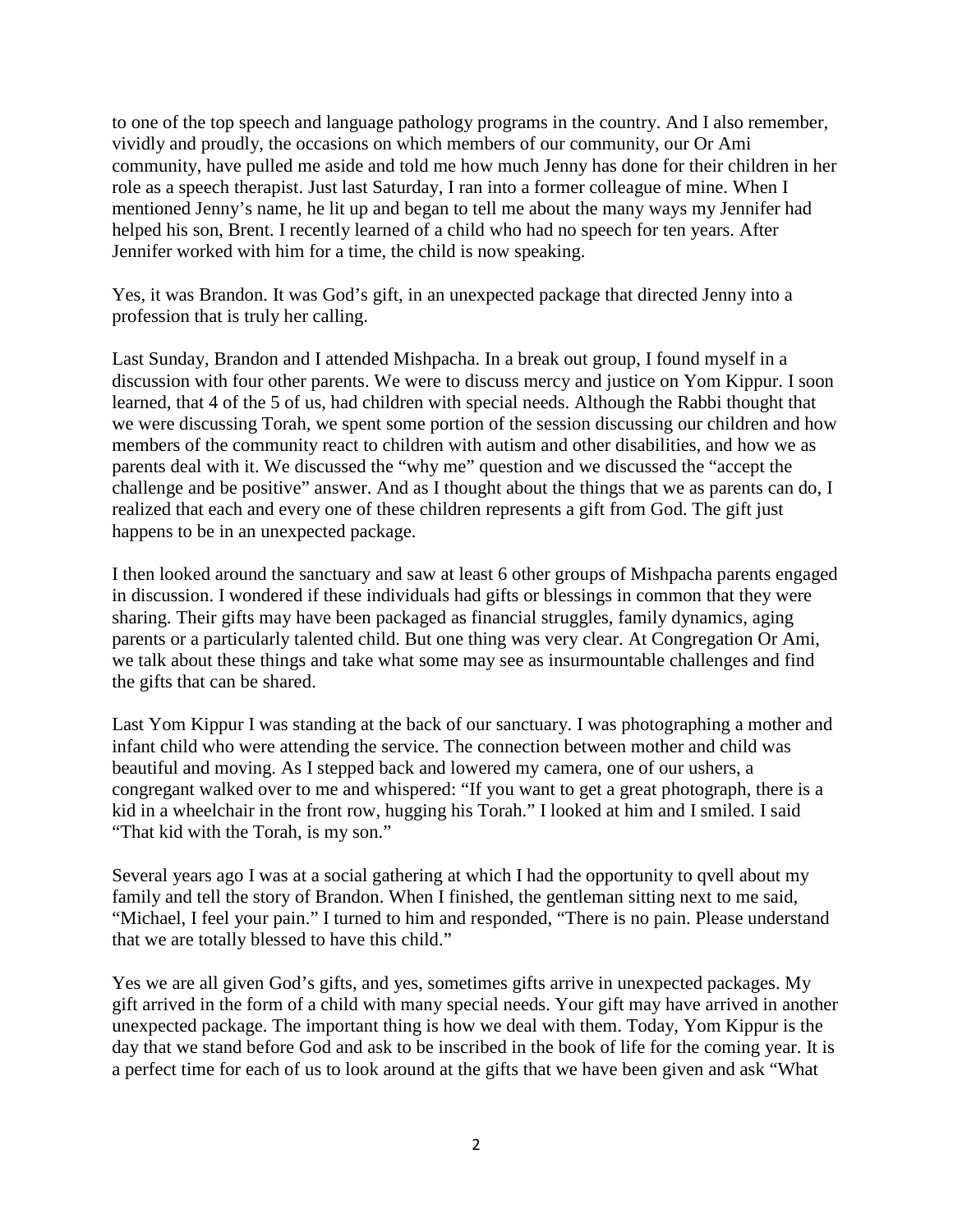to one of the top speech and language pathology programs in the country. And I also remember, vividly and proudly, the occasions on which members of our community, our Or Ami community, have pulled me aside and told me how much Jenny has done for their children in her role as a speech therapist. Just last Saturday, I ran into a former colleague of mine. When I mentioned Jenny's name, he lit up and began to tell me about the many ways my Jennifer had helped his son, Brent. I recently learned of a child who had no speech for ten years. After Jennifer worked with him for a time, the child is now speaking.

Yes, it was Brandon. It was God's gift, in an unexpected package that directed Jenny into a profession that is truly her calling.

Last Sunday, Brandon and I attended Mishpacha. In a break out group, I found myself in a discussion with four other parents. We were to discuss mercy and justice on Yom Kippur. I soon learned, that 4 of the 5 of us, had children with special needs. Although the Rabbi thought that we were discussing Torah, we spent some portion of the session discussing our children and how members of the community react to children with autism and other disabilities, and how we as parents deal with it. We discussed the "why me" question and we discussed the "accept the challenge and be positive" answer. And as I thought about the things that we as parents can do, I realized that each and every one of these children represents a gift from God. The gift just happens to be in an unexpected package.

I then looked around the sanctuary and saw at least 6 other groups of Mishpacha parents engaged in discussion. I wondered if these individuals had gifts or blessings in common that they were sharing. Their gifts may have been packaged as financial struggles, family dynamics, aging parents or a particularly talented child. But one thing was very clear. At Congregation Or Ami, we talk about these things and take what some may see as insurmountable challenges and find the gifts that can be shared.

Last Yom Kippur I was standing at the back of our sanctuary. I was photographing a mother and infant child who were attending the service. The connection between mother and child was beautiful and moving. As I stepped back and lowered my camera, one of our ushers, a congregant walked over to me and whispered: "If you want to get a great photograph, there is a kid in a wheelchair in the front row, hugging his Torah." I looked at him and I smiled. I said "That kid with the Torah, is my son."

Several years ago I was at a social gathering at which I had the opportunity to qvell about my family and tell the story of Brandon. When I finished, the gentleman sitting next to me said, "Michael, I feel your pain." I turned to him and responded, "There is no pain. Please understand that we are totally blessed to have this child."

Yes we are all given God's gifts, and yes, sometimes gifts arrive in unexpected packages. My gift arrived in the form of a child with many special needs. Your gift may have arrived in another unexpected package. The important thing is how we deal with them. Today, Yom Kippur is the day that we stand before God and ask to be inscribed in the book of life for the coming year. It is a perfect time for each of us to look around at the gifts that we have been given and ask "What